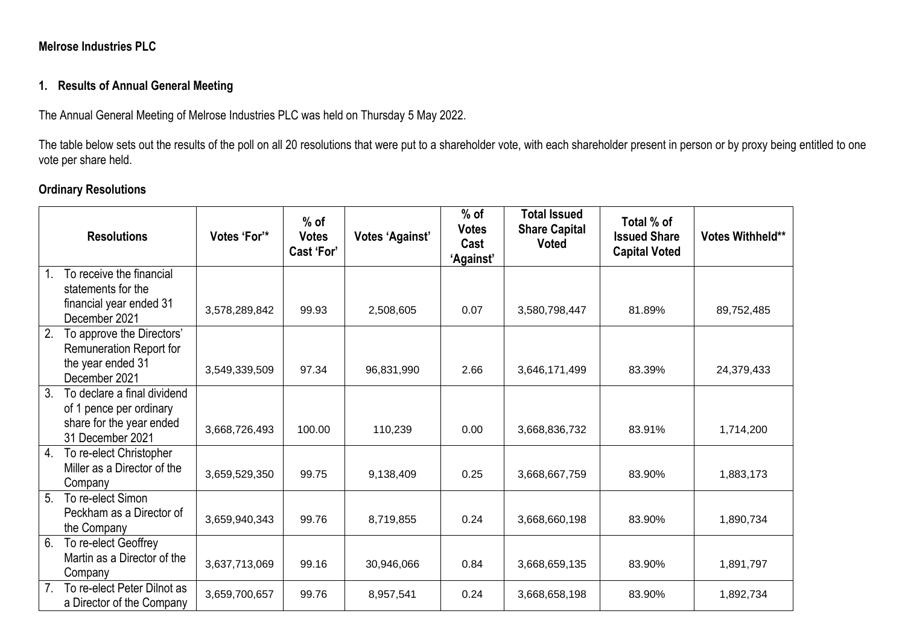### **Melrose Industries PLC**

### **1. Results of Annual General Meeting**

The Annual General Meeting of Melrose Industries PLC was held on Thursday 5 May 2022.

The table below sets out the results of the poll on all 20 resolutions that were put to a shareholder vote, with each shareholder present in person or by proxy being entitled to one vote per share held.

# **Ordinary Resolutions**

|                | <b>Resolutions</b>                                                | Votes 'For'*  | $%$ of<br><b>Votes</b><br>Cast 'For' | <b>Votes 'Against'</b> | $%$ of<br><b>Votes</b><br>Cast<br>'Against' | <b>Total Issued</b><br><b>Share Capital</b><br><b>Voted</b> | Total % of<br><b>Issued Share</b><br><b>Capital Voted</b> | Votes Withheld** |
|----------------|-------------------------------------------------------------------|---------------|--------------------------------------|------------------------|---------------------------------------------|-------------------------------------------------------------|-----------------------------------------------------------|------------------|
|                | To receive the financial<br>statements for the                    |               |                                      |                        |                                             |                                                             |                                                           |                  |
|                | financial year ended 31<br>December 2021                          | 3,578,289,842 | 99.93                                | 2,508,605              | 0.07                                        | 3,580,798,447                                               | 81.89%                                                    | 89,752,485       |
| 2.             | To approve the Directors'<br>Remuneration Report for              |               |                                      |                        |                                             |                                                             |                                                           |                  |
|                | the year ended 31<br>December 2021                                | 3,549,339,509 | 97.34                                | 96,831,990             | 2.66                                        | 3,646,171,499                                               | 83.39%                                                    | 24,379,433       |
| 3.             | To declare a final dividend<br>of 1 pence per ordinary            |               |                                      |                        |                                             |                                                             |                                                           |                  |
|                | share for the year ended<br>31 December 2021                      | 3,668,726,493 | 100.00                               | 110,239                | 0.00                                        | 3,668,836,732                                               | 83.91%                                                    | 1,714,200        |
| 4.             | To re-elect Christopher<br>Miller as a Director of the<br>Company | 3,659,529,350 | 99.75                                | 9,138,409              | 0.25                                        | 3,668,667,759                                               | 83.90%                                                    | 1,883,173        |
| 5 <sub>1</sub> | To re-elect Simon<br>Peckham as a Director of<br>the Company      | 3,659,940,343 | 99.76                                | 8,719,855              | 0.24                                        | 3,668,660,198                                               | 83.90%                                                    | 1,890,734        |
| 6.             | To re-elect Geoffrey<br>Martin as a Director of the<br>Company    | 3,637,713,069 | 99.16                                | 30,946,066             | 0.84                                        | 3,668,659,135                                               | 83.90%                                                    | 1,891,797        |
| 7 <sub>1</sub> | To re-elect Peter Dilnot as<br>a Director of the Company          | 3,659,700,657 | 99.76                                | 8,957,541              | 0.24                                        | 3,668,658,198                                               | 83.90%                                                    | 1,892,734        |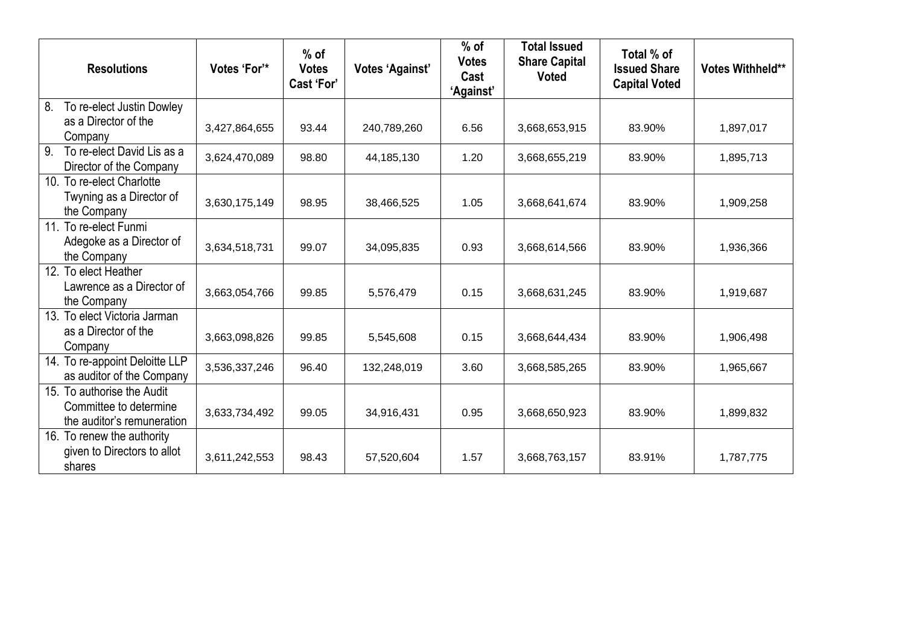| <b>Resolutions</b>                                          | Votes 'For'*  | $%$ of<br><b>Votes</b><br>Cast 'For' | <b>Votes 'Against'</b> | $%$ of<br><b>Votes</b><br>Cast<br><b>'Against'</b> | <b>Total Issued</b><br><b>Share Capital</b><br><b>Voted</b> | Total % of<br><b>Issued Share</b><br><b>Capital Voted</b> | Votes Withheld** |
|-------------------------------------------------------------|---------------|--------------------------------------|------------------------|----------------------------------------------------|-------------------------------------------------------------|-----------------------------------------------------------|------------------|
| 8.<br>To re-elect Justin Dowley                             |               |                                      |                        |                                                    |                                                             |                                                           |                  |
| as a Director of the<br>Company                             | 3,427,864,655 | 93.44                                | 240,789,260            | 6.56                                               | 3,668,653,915                                               | 83.90%                                                    | 1,897,017        |
| To re-elect David Lis as a<br>9.<br>Director of the Company | 3,624,470,089 | 98.80                                | 44,185,130             | 1.20                                               | 3,668,655,219                                               | 83.90%                                                    | 1,895,713        |
| 10. To re-elect Charlotte                                   |               |                                      |                        |                                                    |                                                             |                                                           |                  |
| Twyning as a Director of<br>the Company                     | 3,630,175,149 | 98.95                                | 38,466,525             | 1.05                                               | 3,668,641,674                                               | 83.90%                                                    | 1,909,258        |
| 11. To re-elect Funmi                                       |               |                                      |                        |                                                    |                                                             |                                                           |                  |
| Adegoke as a Director of<br>the Company                     | 3,634,518,731 | 99.07                                | 34,095,835             | 0.93                                               | 3,668,614,566                                               | 83.90%                                                    | 1,936,366        |
| 12.<br>To elect Heather                                     |               |                                      |                        |                                                    |                                                             |                                                           |                  |
| Lawrence as a Director of<br>the Company                    | 3,663,054,766 | 99.85                                | 5,576,479              | 0.15                                               | 3,668,631,245                                               | 83.90%                                                    | 1,919,687        |
| 13. To elect Victoria Jarman                                |               |                                      |                        |                                                    |                                                             |                                                           |                  |
| as a Director of the<br>Company                             | 3,663,098,826 | 99.85                                | 5,545,608              | 0.15                                               | 3,668,644,434                                               | 83.90%                                                    | 1,906,498        |
| 14. To re-appoint Deloitte LLP<br>as auditor of the Company | 3,536,337,246 | 96.40                                | 132,248,019            | 3.60                                               | 3,668,585,265                                               | 83.90%                                                    | 1,965,667        |
| 15. To authorise the Audit                                  |               |                                      |                        |                                                    |                                                             |                                                           |                  |
| Committee to determine<br>the auditor's remuneration        | 3,633,734,492 | 99.05                                | 34,916,431             | 0.95                                               | 3,668,650,923                                               | 83.90%                                                    | 1,899,832        |
| 16. To renew the authority                                  |               |                                      |                        |                                                    |                                                             |                                                           |                  |
| given to Directors to allot<br>shares                       | 3,611,242,553 | 98.43                                | 57,520,604             | 1.57                                               | 3,668,763,157                                               | 83.91%                                                    | 1,787,775        |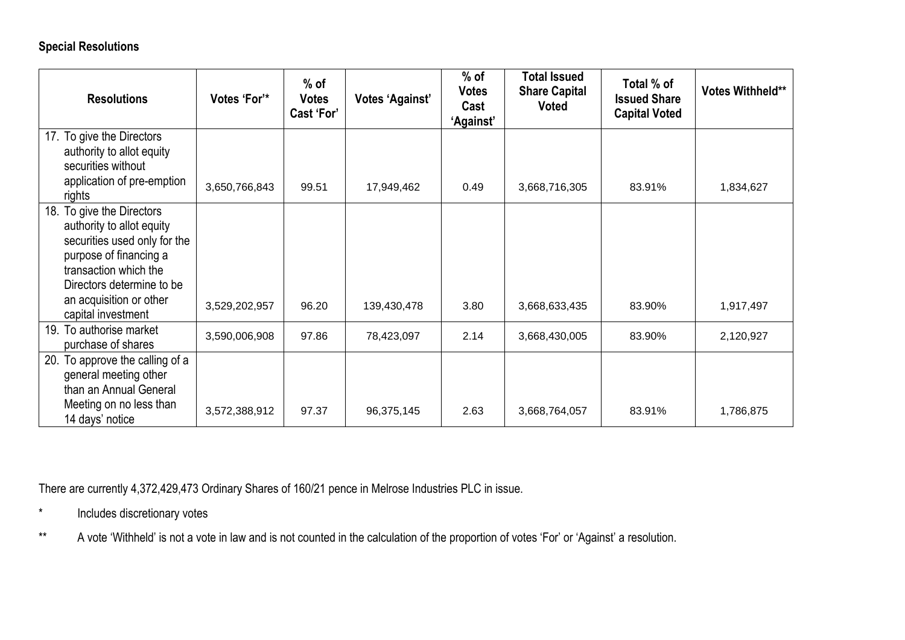# **Special Resolutions**

| <b>Resolutions</b>                                                                                                                                                                                                         | Votes 'For'*  | $%$ of<br><b>Votes</b><br>Cast 'For' | <b>Votes 'Against'</b> | $%$ of<br><b>Votes</b><br>Cast<br>'Against' | <b>Total Issued</b><br><b>Share Capital</b><br><b>Voted</b> | Total % of<br><b>Issued Share</b><br><b>Capital Voted</b> | Votes Withheld** |
|----------------------------------------------------------------------------------------------------------------------------------------------------------------------------------------------------------------------------|---------------|--------------------------------------|------------------------|---------------------------------------------|-------------------------------------------------------------|-----------------------------------------------------------|------------------|
| 17. To give the Directors<br>authority to allot equity                                                                                                                                                                     |               |                                      |                        |                                             |                                                             |                                                           |                  |
| securities without                                                                                                                                                                                                         |               |                                      |                        |                                             |                                                             |                                                           |                  |
| application of pre-emption<br>rights                                                                                                                                                                                       | 3,650,766,843 | 99.51                                | 17,949,462             | 0.49                                        | 3,668,716,305                                               | 83.91%                                                    | 1,834,627        |
| To give the Directors<br>18.<br>authority to allot equity<br>securities used only for the<br>purpose of financing a<br>transaction which the<br>Directors determine to be<br>an acquisition or other<br>capital investment | 3,529,202,957 | 96.20                                | 139,430,478            | 3.80                                        | 3,668,633,435                                               | 83.90%                                                    | 1,917,497        |
| To authorise market<br>19.<br>purchase of shares                                                                                                                                                                           | 3,590,006,908 | 97.86                                | 78,423,097             | 2.14                                        | 3,668,430,005                                               | 83.90%                                                    | 2,120,927        |
| To approve the calling of a<br>20.<br>general meeting other<br>than an Annual General<br>Meeting on no less than                                                                                                           | 3,572,388,912 | 97.37                                | 96,375,145             | 2.63                                        | 3,668,764,057                                               | 83.91%                                                    | 1,786,875        |
| 14 days' notice                                                                                                                                                                                                            |               |                                      |                        |                                             |                                                             |                                                           |                  |

There are currently 4,372,429,473 Ordinary Shares of 160/21 pence in Melrose Industries PLC in issue.

- \* Includes discretionary votes
- \*\* A vote 'Withheld' is not a vote in law and is not counted in the calculation of the proportion of votes 'For' or 'Against' a resolution.